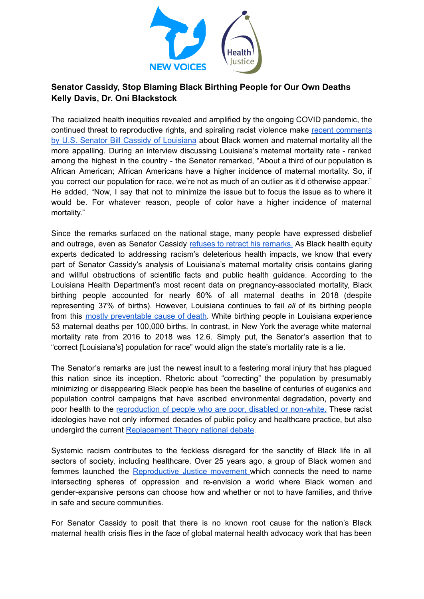

## **Senator Cassidy, Stop Blaming Black Birthing People for Our Own Deaths Kelly Davis, Dr. Oni Blackstock**

The racialized health inequities revealed and amplified by the ongoing COVID pandemic, the continued threat to reproductive rights, and spiraling racist violence make recent [comments](https://www.politico.com/news/2022/05/19/why-louisianas-maternal-mortality-rates-are-so-high-00033832) by U.S. Senator Bill Cassidy of [Louisiana](https://www.politico.com/news/2022/05/19/why-louisianas-maternal-mortality-rates-are-so-high-00033832) about Black women and maternal mortality all the more appalling. During an interview discussing Louisiana's maternal mortality rate - ranked among the highest in the country - the Senator remarked, "About a third of our population is African American; African Americans have a higher incidence of maternal mortality. So, if you correct our population for race, we're not as much of an outlier as it'd otherwise appear." He added, "Now, I say that not to minimize the issue but to focus the issue as to where it would be. For whatever reason, people of color have a higher incidence of maternal mortality."

Since the remarks surfaced on the national stage, many people have expressed disbelief and outrage, even as Senator Cassidy refuses to retract his [remarks.](https://www.nbcnews.com/news/nbcblk/cassidy-defends-statements-louisianas-black-maternal-health-statistics-rcna30166) As Black health equity experts dedicated to addressing racism's deleterious health impacts, we know that every part of Senator Cassidy's analysis of Louisiana's maternal mortality crisis contains glaring and willful obstructions of scientific facts and public health guidance. According to the Louisiana Health Department's most recent data on pregnancy-associated mortality, Black birthing people accounted for nearly 60% of all maternal deaths in 2018 (despite representing 37% of births). However, Louisiana continues to fail *all* of its birthing people from this mostly [preventable](https://www.who.int/news-room/fact-sheets/detail/maternal-mortality#:~:text=Most%20maternal%20deaths%20are%20preventable,newborn%20health%20are%20closely%20linked.) cause of death. White birthing people in Louisiana experience 53 maternal deaths per 100,000 births. In contrast, in New York the average white maternal mortality rate from 2016 to 2018 was 12.6. Simply put, the Senator's assertion that to "correct [Louisiana's] population for race" would align the state's mortality rate is a lie.

The Senator's remarks are just the newest insult to a festering moral injury that has plagued this nation since its inception. Rhetoric about "correcting" the population by presumably minimizing or disappearing Black people has been the baseline of centuries of eugenics and population control campaigns that have ascribed environmental degradation, poverty and poor health to the [reproduction](https://www.nytimes.com/2021/04/17/opinion/planned-parenthood-margaret-sanger.html) of people who are poor, disabled or non-white. These racist ideologies have not only informed decades of public policy and healthcare practice, but also undergird the current [Replacement](https://www.cnn.com/2022/05/20/us/replacement-theory-white-supremacist-buffalo-shooter/index.html) Theory national debate.

Systemic racism contributes to the feckless disregard for the sanctity of Black life in all sectors of society, including healthcare. Over 25 years ago, a group of Black women and femmes launched the [Reproductive](https://www.sistersong.net/reproductive-justice) Justice movement which connects the need to name intersecting spheres of oppression and re-envision a world where Black women and gender-expansive persons can choose how and whether or not to have families, and thrive in safe and secure communities.

For Senator Cassidy to posit that there is no known root cause for the nation's Black maternal health crisis flies in the face of global maternal health advocacy work that has been